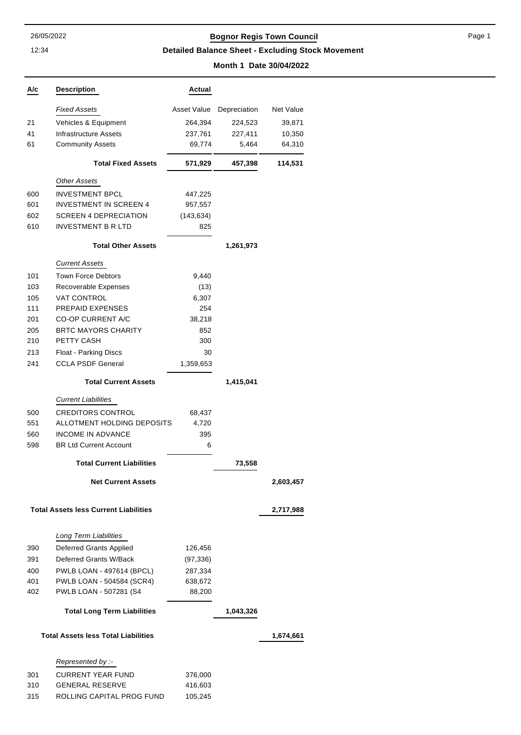12:34

### 26/05/2022 **Bognor Regis Town Council**

Page 1

**Detailed Balance Sheet - Excluding Stock Movement**

#### **Month 1 Date 30/04/2022**

| A/c | <b>Description</b>                                     | Actual             |              |           |
|-----|--------------------------------------------------------|--------------------|--------------|-----------|
|     | <b>Fixed Assets</b>                                    | Asset Value        | Depreciation | Net Value |
| 21  | Vehicles & Equipment                                   | 264,394            | 224,523      | 39,871    |
| 41  | Infrastructure Assets                                  | 237,761            | 227,411      | 10,350    |
| 61  | <b>Community Assets</b>                                | 69,774             | 5,464        | 64,310    |
|     | <b>Total Fixed Assets</b>                              | 571,929            | 457,398      | 114,531   |
|     | <b>Other Assets</b>                                    |                    |              |           |
| 600 | <b>INVESTMENT BPCL</b>                                 | 447,225            |              |           |
| 601 | <b>INVESTMENT IN SCREEN 4</b>                          | 957,557            |              |           |
| 602 | <b>SCREEN 4 DEPRECIATION</b>                           | (143, 634)         |              |           |
| 610 | <b>INVESTMENT B R LTD</b>                              | 825                |              |           |
|     | <b>Total Other Assets</b>                              |                    | 1,261,973    |           |
|     | <b>Current Assets</b>                                  |                    |              |           |
| 101 | <b>Town Force Debtors</b>                              | 9,440              |              |           |
| 103 | Recoverable Expenses                                   | (13)               |              |           |
| 105 | <b>VAT CONTROL</b>                                     | 6,307              |              |           |
| 111 | <b>PREPAID EXPENSES</b>                                | 254                |              |           |
| 201 | <b>CO-OP CURRENT A/C</b>                               | 38,218             |              |           |
| 205 | <b>BRTC MAYORS CHARITY</b>                             | 852                |              |           |
| 210 | PETTY CASH                                             | 300                |              |           |
| 213 | Float - Parking Discs                                  | 30                 |              |           |
| 241 | <b>CCLA PSDF General</b>                               | 1,359,653          |              |           |
|     | <b>Total Current Assets</b>                            |                    | 1,415,041    |           |
|     | <b>Current Liabilities</b>                             |                    |              |           |
| 500 | <b>CREDITORS CONTROL</b>                               | 68,437             |              |           |
| 551 | ALLOTMENT HOLDING DEPOSITS                             | 4,720              |              |           |
| 560 | <b>INCOME IN ADVANCE</b>                               | 395                |              |           |
| 598 | <b>BR Ltd Current Account</b>                          | 6                  |              |           |
|     | <b>Total Current Liabilities</b>                       |                    | 73,558       |           |
|     | <b>Net Current Assets</b>                              |                    |              | 2,603,457 |
|     | <b>Total Assets less Current Liabilities</b>           |                    |              | 2,717,988 |
|     | Long Term Liabilities                                  |                    |              |           |
| 390 | Deferred Grants Applied                                | 126,456            |              |           |
| 391 | Deferred Grants W/Back                                 |                    |              |           |
| 400 |                                                        | (97, 336)          |              |           |
| 401 | PWLB LOAN - 497614 (BPCL)<br>PWLB LOAN - 504584 (SCR4) | 287,334<br>638,672 |              |           |
| 402 | PWLB LOAN - 507281 (S4                                 | 88,200             |              |           |
|     |                                                        |                    |              |           |
|     | <b>Total Long Term Liabilities</b>                     |                    | 1,043,326    |           |
|     | <b>Total Assets less Total Liabilities</b>             |                    |              | 1,674,661 |
|     | Represented by :-                                      |                    |              |           |
| 301 | <b>CURRENT YEAR FUND</b>                               | 376,000            |              |           |
| 310 | <b>GENERAL RESERVE</b>                                 | 416,603            |              |           |
| 315 | ROLLING CAPITAL PROG FUND                              | 105,245            |              |           |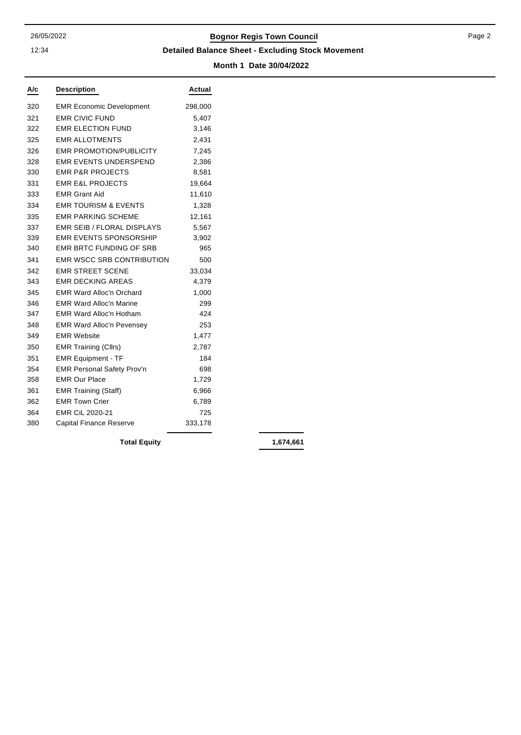12:34

## 26/05/2022 **Bognor Regis Town Council**

#### **Detailed Balance Sheet - Excluding Stock Movement**

**Month 1 Date 30/04/2022**

| A/c | <b>Description</b>                | Actual  |
|-----|-----------------------------------|---------|
| 320 | <b>EMR Economic Development</b>   | 298,000 |
| 321 | <b>EMR CIVIC FUND</b>             | 5,407   |
| 322 | <b>EMR ELECTION FUND</b>          | 3,146   |
| 325 | <b>FMR ALLOTMENTS</b>             | 2,431   |
| 326 | <b>EMR PROMOTION/PUBLICITY</b>    | 7,245   |
| 328 | <b>EMR EVENTS UNDERSPEND</b>      | 2,386   |
| 330 | <b>EMR P&amp;R PROJECTS</b>       | 8,581   |
| 331 | <b>EMR E&amp;L PROJECTS</b>       | 19,664  |
| 333 | <b>EMR Grant Aid</b>              | 11,610  |
| 334 | <b>EMR TOURISM &amp; EVENTS</b>   | 1,328   |
| 335 | <b>EMR PARKING SCHEME</b>         | 12,161  |
| 337 | <b>EMR SEIB / FLORAL DISPLAYS</b> | 5,567   |
| 339 | <b>EMR EVENTS SPONSORSHIP</b>     | 3,902   |
| 340 | <b>EMR BRTC FUNDING OF SRB</b>    | 965     |
| 341 | <b>EMR WSCC SRB CONTRIBUTION</b>  | 500     |
| 342 | <b>EMR STREET SCENE</b>           | 33,034  |
| 343 | <b>EMR DECKING AREAS</b>          | 4,379   |
| 345 | <b>EMR Ward Alloc'n Orchard</b>   | 1,000   |
| 346 | <b>EMR Ward Alloc'n Marine</b>    | 299     |
| 347 | <b>EMR Ward Alloc'n Hotham</b>    | 424     |
| 348 | <b>EMR Ward Alloc'n Pevensey</b>  | 253     |
| 349 | <b>EMR Website</b>                | 1,477   |
| 350 | <b>EMR Training (Cllrs)</b>       | 2,787   |
| 351 | <b>EMR Equipment - TF</b>         | 184     |
| 354 | <b>EMR Personal Safety Prov'n</b> | 698     |
| 358 | <b>EMR Our Place</b>              | 1,729   |
| 361 | <b>EMR Training (Staff)</b>       | 6,966   |
| 362 | <b>EMR Town Crier</b>             | 6,789   |
| 364 | EMR CiL 2020-21                   | 725     |
| 380 | <b>Capital Finance Reserve</b>    | 333,178 |

**Total Equity 1,674,661**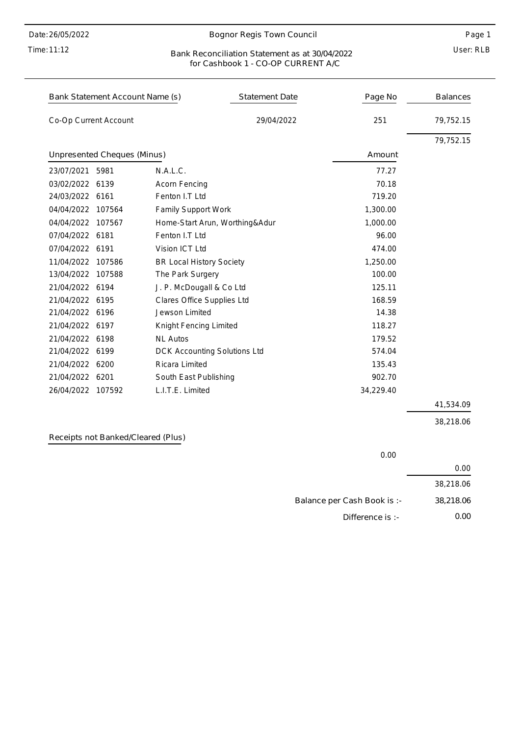Time: 11:12

#### Bognor Regis Town Council

#### User: RLB Bank Reconciliation Statement as at 30/04/2022 for Cashbook 1 - CO-OP CURRENT A/C

|                       | Bank Statement Account Name (s) |                                 | <b>Statement Date</b> | Page No   | <b>Balances</b> |
|-----------------------|---------------------------------|---------------------------------|-----------------------|-----------|-----------------|
| Co-Op Current Account |                                 |                                 | 29/04/2022            | 251       | 79,752.15       |
|                       |                                 |                                 |                       |           | 79,752.15       |
|                       | Unpresented Cheques (Minus)     |                                 |                       | Amount    |                 |
| 23/07/2021            | 5981                            | N.A.L.C.                        |                       | 77.27     |                 |
| 03/02/2022            | 6139                            | <b>Acorn Fencing</b>            |                       | 70.18     |                 |
| 24/03/2022 6161       |                                 | Fenton I.T Ltd                  |                       | 719.20    |                 |
| 04/04/2022            | 107564                          | Family Support Work             |                       | 1,300.00  |                 |
| 04/04/2022            | 107567                          | Home-Start Arun, Worthing&Adur  |                       | 1,000.00  |                 |
| 07/04/2022 6181       |                                 | Fenton I.T Ltd                  |                       | 96.00     |                 |
| 07/04/2022 6191       |                                 | Vision ICT Ltd                  |                       | 474.00    |                 |
| 11/04/2022            | 107586                          | <b>BR Local History Society</b> |                       | 1,250.00  |                 |
| 13/04/2022            | 107588                          | The Park Surgery                |                       | 100.00    |                 |
| 21/04/2022 6194       |                                 | J. P. McDougall & Co Ltd        |                       | 125.11    |                 |
| 21/04/2022 6195       |                                 | Clares Office Supplies Ltd      |                       | 168.59    |                 |
| 21/04/2022 6196       |                                 | Jewson Limited                  |                       | 14.38     |                 |
| 21/04/2022 6197       |                                 | Knight Fencing Limited          |                       | 118.27    |                 |
| 21/04/2022            | 6198                            | <b>NL Autos</b>                 |                       | 179.52    |                 |
| 21/04/2022 6199       |                                 | DCK Accounting Solutions Ltd    |                       | 574.04    |                 |
| 21/04/2022 6200       |                                 | <b>Ricara Limited</b>           |                       | 135.43    |                 |
| 21/04/2022 6201       |                                 | South East Publishing           |                       | 902.70    |                 |
| 26/04/2022 107592     |                                 | L.I.T.E. Limited                |                       | 34,229.40 |                 |
|                       |                                 |                                 |                       |           | 41,534.09       |

Receipts not Banked/Cleared (Plus)

0.00 0.00 Balance per Cash Book is :- Difference is :- 38,218.06 38,218.06 0.00

38,218.06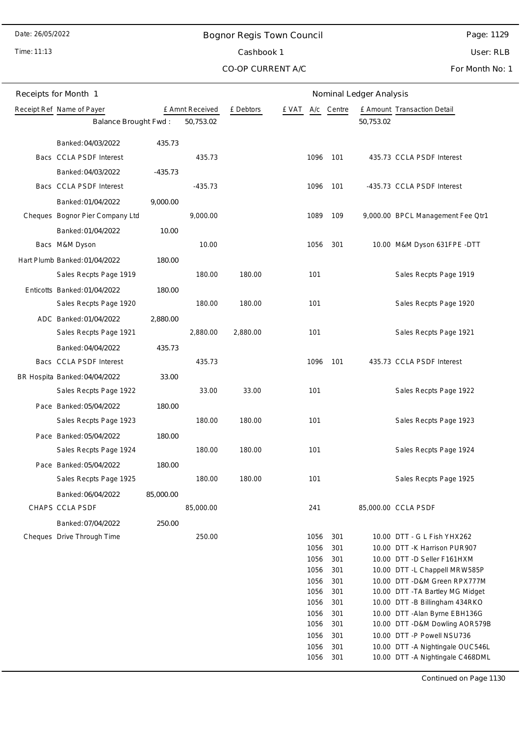Time: 11:13

# Bognor Regis Town Council Cashbook 1

Page: 1129

User: RLB

CO-OP CURRENT A/C

For Month No: 1

| Receipts for Month 1 |                                 |           |                 | Nominal Ledger Analysis |                  |            |           |                                                                   |  |
|----------------------|---------------------------------|-----------|-----------------|-------------------------|------------------|------------|-----------|-------------------------------------------------------------------|--|
|                      | Receipt Ref Name of Payer       |           | £ Amnt Received | £ Debtors               | E VAT A/c Centre |            |           | £ Amount Transaction Detail                                       |  |
|                      | Balance Brought Fwd:            |           | 50,753.02       |                         |                  |            | 50,753.02 |                                                                   |  |
|                      | Banked: 04/03/2022              | 435.73    |                 |                         |                  |            |           |                                                                   |  |
|                      | Bacs CCLA PSDF Interest         |           | 435.73          |                         | 1096             | 101        |           | 435.73 CCLA PSDF Interest                                         |  |
|                      | Banked: 04/03/2022              | $-435.73$ |                 |                         |                  |            |           |                                                                   |  |
|                      | Bacs CCLA PSDF Interest         |           | $-435.73$       |                         | 1096             | 101        |           | -435.73 CCLA PSDF Interest                                        |  |
|                      | Banked: 01/04/2022              | 9,000.00  |                 |                         |                  |            |           |                                                                   |  |
|                      | Cheques Bognor Pier Company Ltd |           | 9,000.00        |                         | 1089             | 109        |           | 9,000.00 BPCL Management Fee Qtr1                                 |  |
|                      | Banked: 01/04/2022              | 10.00     |                 |                         |                  |            |           |                                                                   |  |
|                      | Bacs M&M Dyson                  |           | 10.00           |                         | 1056             | 301        |           | 10.00 M&M Dyson 631FPE -DTT                                       |  |
|                      | Hart Plumb Banked: 01/04/2022   | 180.00    |                 |                         |                  |            |           |                                                                   |  |
|                      | Sales Recpts Page 1919          |           | 180.00          | 180.00                  | 101              |            |           | Sales Recpts Page 1919                                            |  |
|                      | Enticotts Banked: 01/04/2022    | 180.00    |                 |                         |                  |            |           |                                                                   |  |
|                      | Sales Recpts Page 1920          |           | 180.00          | 180.00                  | 101              |            |           | Sales Recpts Page 1920                                            |  |
|                      | ADC Banked: 01/04/2022          | 2,880.00  |                 |                         |                  |            |           |                                                                   |  |
|                      | Sales Recpts Page 1921          |           | 2,880.00        | 2,880.00                | 101              |            |           | Sales Recpts Page 1921                                            |  |
|                      | Banked: 04/04/2022              | 435.73    |                 |                         |                  |            |           |                                                                   |  |
|                      | Bacs CCLA PSDF Interest         |           | 435.73          |                         | 1096             | 101        |           | 435.73 CCLA PSDF Interest                                         |  |
|                      | BR Hospita Banked: 04/04/2022   | 33.00     |                 |                         |                  |            |           |                                                                   |  |
|                      | Sales Recpts Page 1922          |           | 33.00           | 33.00                   | 101              |            |           | Sales Recpts Page 1922                                            |  |
|                      | Pace Banked: 05/04/2022         | 180.00    |                 |                         |                  |            |           |                                                                   |  |
|                      | Sales Recpts Page 1923          |           | 180.00          | 180.00                  | 101              |            |           | Sales Recpts Page 1923                                            |  |
|                      | Pace Banked: 05/04/2022         | 180.00    |                 |                         |                  |            |           |                                                                   |  |
|                      | Sales Recpts Page 1924          |           | 180.00          | 180.00                  | 101              |            |           | Sales Recpts Page 1924                                            |  |
|                      | Pace Banked: 05/04/2022         | 180.00    |                 |                         |                  |            |           |                                                                   |  |
|                      | Sales Recpts Page 1925          |           | 180.00          | 180.00                  | 101              |            |           | Sales Recpts Page 1925                                            |  |
|                      | Banked: 06/04/2022              | 85,000.00 |                 |                         |                  |            |           |                                                                   |  |
|                      | CHAPS CCLA PSDF                 |           | 85,000.00       |                         | 241              |            |           | 85,000.00 CCLA PSDF                                               |  |
|                      | Banked: 07/04/2022              | 250.00    |                 |                         |                  |            |           |                                                                   |  |
|                      | Cheques Drive Through Time      |           | 250.00          |                         | 1056             | 301        |           | 10.00 DTT - G L Fish YHX262                                       |  |
|                      |                                 |           |                 |                         | 1056             | 301        |           | 10.00 DTT - K Harrison PUR907                                     |  |
|                      |                                 |           |                 |                         | 1056             | 301        |           | 10.00 DTT -D Seller F161HXM                                       |  |
|                      |                                 |           |                 |                         | 1056             | 301        |           | 10.00 DTT - L Chappell MRW585P                                    |  |
|                      |                                 |           |                 |                         | 1056<br>1056     | 301<br>301 |           | 10.00 DTT - D&M Green RPX777M<br>10.00 DTT - TA Bartley MG Midget |  |
|                      |                                 |           |                 |                         | 1056             | 301        |           | 10.00 DTT -B Billingham 434RKO                                    |  |
|                      |                                 |           |                 |                         | 1056             | 301        |           | 10.00 DTT - Alan Byrne EBH136G                                    |  |
|                      |                                 |           |                 |                         | 1056             | 301        |           | 10.00 DTT - D&M Dowling AOR579B                                   |  |
|                      |                                 |           |                 |                         | 1056             | 301        |           | 10.00 DTT -P Powell NSU736                                        |  |
|                      |                                 |           |                 |                         | 1056             | 301        |           | 10.00 DTT - A Nightingale OUC546L                                 |  |
|                      |                                 |           |                 |                         | 1056             | 301        |           | 10.00 DTT - A Nightingale C468DML                                 |  |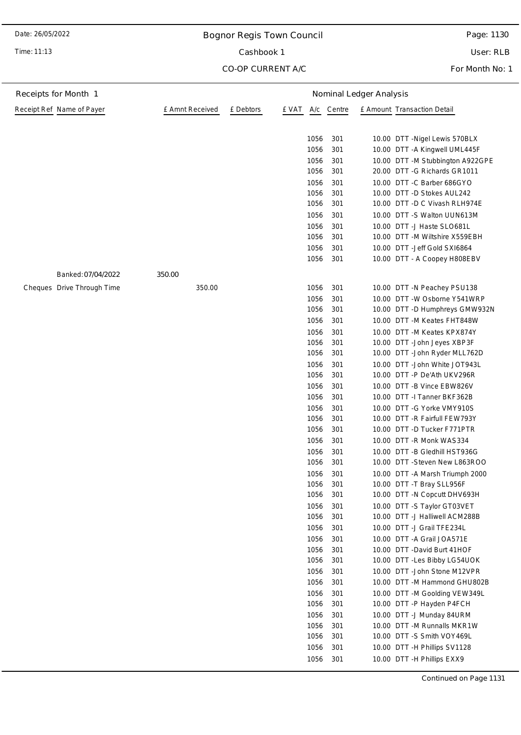Time: 11:13

## Bognor Regis Town Council

Cashbook 1

CO-OP CURRENT A/C

Page: 1130

User: RLB

For Month No: 1

| Receipts for Month 1       |                 | Nominal Ledger Analysis |              |            |                                                             |  |  |
|----------------------------|-----------------|-------------------------|--------------|------------|-------------------------------------------------------------|--|--|
| Receipt Ref Name of Payer  | £ Amnt Received | £ Debtors               | £ VAT<br>A/c | Centre     | £ Amount Transaction Detail                                 |  |  |
|                            |                 |                         |              |            |                                                             |  |  |
|                            |                 |                         | 1056         | 301        | 10.00 DTT - Nigel Lewis 570BLX                              |  |  |
|                            |                 |                         | 1056         | 301        | 10.00 DTT - A Kingwell UML445F                              |  |  |
|                            |                 |                         | 1056         | 301        | 10.00 DTT -M Stubbington A922GPE                            |  |  |
|                            |                 |                         | 1056         | 301        | 20.00 DTT -G Richards GR1011                                |  |  |
|                            |                 |                         | 1056         | 301        | 10.00 DTT -C Barber 686GYO                                  |  |  |
|                            |                 |                         | 1056         | 301        | 10.00 DTT -D Stokes AUL242                                  |  |  |
|                            |                 |                         | 1056         | 301        | 10.00 DTT -D C Vivash RLH974E                               |  |  |
|                            |                 |                         | 1056         | 301        | 10.00 DTT -S Walton UUN613M                                 |  |  |
|                            |                 |                         | 1056         | 301        | 10.00 DTT -J Haste SLO681L                                  |  |  |
|                            |                 |                         | 1056         | 301        | 10.00 DTT -M Wiltshire X559EBH                              |  |  |
|                            |                 |                         | 1056         | 301        | 10.00 DTT - Jeff Gold SXI6864                               |  |  |
|                            |                 |                         | 1056         | 301        | 10.00 DTT - A Coopey H808EBV                                |  |  |
| Banked: 07/04/2022         | 350.00          |                         |              |            |                                                             |  |  |
| Cheques Drive Through Time | 350.00          |                         | 1056         | 301        | 10.00 DTT -N Peachey PSU138                                 |  |  |
|                            |                 |                         | 1056         | 301        | 10.00 DTT - W Osborne Y541WRP                               |  |  |
|                            |                 |                         | 1056         | 301        | 10.00 DTT -D Humphreys GMW932N                              |  |  |
|                            |                 |                         | 1056         | 301        | 10.00 DTT -M Keates FHT848W                                 |  |  |
|                            |                 |                         | 1056         | 301        | 10.00 DTT - M Keates KPX874Y                                |  |  |
|                            |                 |                         | 1056         | 301        | 10.00 DTT - John Jeyes XBP3F                                |  |  |
|                            |                 |                         | 1056         | 301        | 10.00 DTT - John Ryder MLL762D                              |  |  |
|                            |                 |                         | 1056         | 301        | 10.00 DTT - John White JOT943L                              |  |  |
|                            |                 |                         | 1056         | 301        | 10.00 DTT -P De'Ath UKV296R                                 |  |  |
|                            |                 |                         | 1056         | 301        | 10.00 DTT - B Vince EBW826V                                 |  |  |
|                            |                 |                         | 1056         | 301        | 10.00 DTT -I Tanner BKF362B                                 |  |  |
|                            |                 |                         | 1056         | 301        | 10.00 DTT -G Yorke VMY910S                                  |  |  |
|                            |                 |                         | 1056         | 301        | 10.00 DTT - R Fairfull FEW793Y                              |  |  |
|                            |                 |                         | 1056         | 301        | 10.00 DTT -D Tucker F771PTR                                 |  |  |
|                            |                 |                         | 1056         | 301        | 10.00 DTT - R Monk WAS334                                   |  |  |
|                            |                 |                         | 1056         | 301        | 10.00 DTT - B Gledhill HST936G                              |  |  |
|                            |                 |                         | 1056         | 301        | 10.00 DTT - Steven New L863ROO                              |  |  |
|                            |                 |                         | 1056         | 301        | 10.00 DTT - A Marsh Triumph 2000                            |  |  |
|                            |                 |                         | 1056<br>1056 | 301<br>301 | 10.00 DTT -T Bray SLL956F                                   |  |  |
|                            |                 |                         | 1056         | 301        | 10.00 DTT -N Copcutt DHV693H<br>10.00 DTT -S Taylor GT03VET |  |  |
|                            |                 |                         | 1056         | 301        | 10.00 DTT -J Halliwell ACM288B                              |  |  |
|                            |                 |                         | 1056         | 301        | 10.00 DTT -J Grail TFE234L                                  |  |  |
|                            |                 |                         | 1056         | 301        | 10.00 DTT - A Grail JOA571E                                 |  |  |
|                            |                 |                         | 1056         | 301        | 10.00 DTT -David Burt 41HOF                                 |  |  |
|                            |                 |                         | 1056         | 301        | 10.00 DTT - Les Bibby LG54UOK                               |  |  |
|                            |                 |                         | 1056         | 301        | 10.00 DTT - John Stone M12VPR                               |  |  |
|                            |                 |                         | 1056         | 301        | 10.00 DTT -M Hammond GHU802B                                |  |  |
|                            |                 |                         | 1056         | 301        | 10.00 DTT -M Goolding VEW349L                               |  |  |
|                            |                 |                         | 1056         | 301        | 10.00 DTT -P Hayden P4FCH                                   |  |  |
|                            |                 |                         | 1056         | 301        | 10.00 DTT -J Munday 84URM                                   |  |  |
|                            |                 |                         | 1056         | 301        | 10.00 DTT -M Runnalls MKR1W                                 |  |  |
|                            |                 |                         | 1056         | 301        | 10.00 DTT -S Smith VOY469L                                  |  |  |
|                            |                 |                         | 1056         | 301        | 10.00 DTT -H Phillips SV1128                                |  |  |
|                            |                 |                         | 1056         | 301        | 10.00 DTT -H Phillips EXX9                                  |  |  |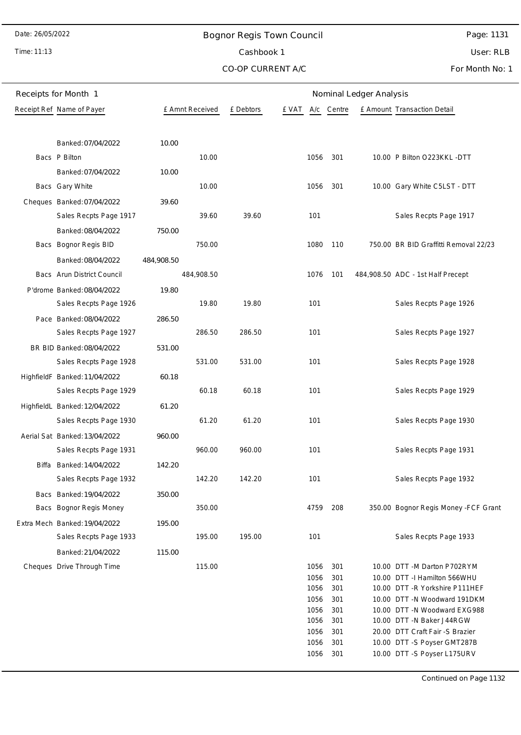Time: 11:13

## Bognor Regis Town Council

Page: 1131

Cashbook 1

CO-OP CURRENT A/C

User: RLB For Month No: 1

| Receipts for Month 1          | Nominal Ledger Analysis |                 |           |       |              |            |  |                                                                 |
|-------------------------------|-------------------------|-----------------|-----------|-------|--------------|------------|--|-----------------------------------------------------------------|
| Receipt Ref Name of Payer     |                         | £ Amnt Received | £ Debtors | e vat |              | A/c Centre |  | £ Amount Transaction Detail                                     |
|                               |                         |                 |           |       |              |            |  |                                                                 |
| Banked: 07/04/2022            | 10.00                   |                 |           |       |              |            |  |                                                                 |
| Bacs P Bilton                 |                         | 10.00           |           |       | 1056         | 301        |  | 10.00 P Bilton O223KKL -DTT                                     |
| Banked: 07/04/2022            | 10.00                   |                 |           |       |              |            |  |                                                                 |
| Bacs Gary White               |                         | 10.00           |           |       | 1056         | 301        |  | 10.00 Gary White C5LST - DTT                                    |
|                               |                         |                 |           |       |              |            |  |                                                                 |
| Cheques Banked: 07/04/2022    | 39.60                   |                 |           |       |              |            |  |                                                                 |
| Sales Recpts Page 1917        |                         | 39.60           | 39.60     |       | 101          |            |  | Sales Recpts Page 1917                                          |
| Banked: 08/04/2022            | 750.00                  |                 |           |       |              |            |  |                                                                 |
| Bacs Bognor Regis BID         |                         | 750.00          |           |       | 1080         | 110        |  | 750.00 BR BID Graffitti Removal 22/23                           |
| Banked: 08/04/2022            | 484,908.50              |                 |           |       |              |            |  |                                                                 |
| Bacs Arun District Council    |                         | 484,908.50      |           |       | 1076         | 101        |  | 484,908.50 ADC - 1st Half Precept                               |
| P'drome Banked: 08/04/2022    | 19.80                   |                 |           |       |              |            |  |                                                                 |
| Sales Recpts Page 1926        |                         | 19.80           | 19.80     |       | 101          |            |  | Sales Recpts Page 1926                                          |
| Pace Banked: 08/04/2022       | 286.50                  |                 |           |       |              |            |  |                                                                 |
| Sales Recpts Page 1927        |                         | 286.50          | 286.50    |       | 101          |            |  | Sales Recpts Page 1927                                          |
| BR BID Banked: 08/04/2022     | 531.00                  |                 |           |       |              |            |  |                                                                 |
| Sales Recpts Page 1928        |                         | 531.00          | 531.00    |       | 101          |            |  | Sales Recpts Page 1928                                          |
| HighfieldF Banked: 11/04/2022 | 60.18                   |                 |           |       |              |            |  |                                                                 |
| Sales Recpts Page 1929        |                         | 60.18           | 60.18     |       | 101          |            |  | Sales Recpts Page 1929                                          |
| HighfieldL Banked: 12/04/2022 | 61.20                   |                 |           |       |              |            |  |                                                                 |
| Sales Recpts Page 1930        |                         | 61.20           | 61.20     |       | 101          |            |  | Sales Recpts Page 1930                                          |
| Aerial Sat Banked: 13/04/2022 | 960.00                  |                 |           |       |              |            |  |                                                                 |
| Sales Recpts Page 1931        |                         | 960.00          | 960.00    |       | 101          |            |  | Sales Recpts Page 1931                                          |
| Biffa Banked: 14/04/2022      | 142.20                  |                 |           |       |              |            |  |                                                                 |
| Sales Recpts Page 1932        |                         | 142.20          | 142.20    |       | 101          |            |  | Sales Recpts Page 1932                                          |
|                               |                         |                 |           |       |              |            |  |                                                                 |
| Bacs Banked: 19/04/2022       | 350.00                  |                 |           |       |              |            |  |                                                                 |
| Bacs Bognor Regis Money       |                         | 350.00          |           |       | 4759         | 208        |  | 350.00 Bognor Regis Money - FCF Grant                           |
| Extra Mech Banked: 19/04/2022 | 195.00                  |                 |           |       |              |            |  |                                                                 |
| Sales Recpts Page 1933        |                         | 195.00          | 195.00    |       | 101          |            |  | Sales Recpts Page 1933                                          |
| Banked: 21/04/2022            | 115.00                  |                 |           |       |              |            |  |                                                                 |
| Cheques Drive Through Time    |                         | 115.00          |           |       | 1056         | 301        |  | 10.00 DTT -M Darton P702RYM                                     |
|                               |                         |                 |           |       | 1056<br>1056 | 301<br>301 |  | 10.00 DTT -I Hamilton 566WHU<br>10.00 DTT - R Yorkshire P111HEF |
|                               |                         |                 |           |       | 1056         | 301        |  | 10.00 DTT -N Woodward 191DKM                                    |
|                               |                         |                 |           |       | 1056         | 301        |  | 10.00 DTT -N Woodward EXG988                                    |
|                               |                         |                 |           |       | 1056         | 301        |  | 10.00 DTT -N Baker J44RGW                                       |
|                               |                         |                 |           |       | 1056         | 301        |  | 20.00 DTT Craft Fair -S Brazier                                 |
|                               |                         |                 |           |       | 1056         | 301        |  | 10.00 DTT -S Poyser GMT287B                                     |
|                               |                         |                 |           |       | 1056         | 301        |  | 10.00 DTT -S Poyser L175URV                                     |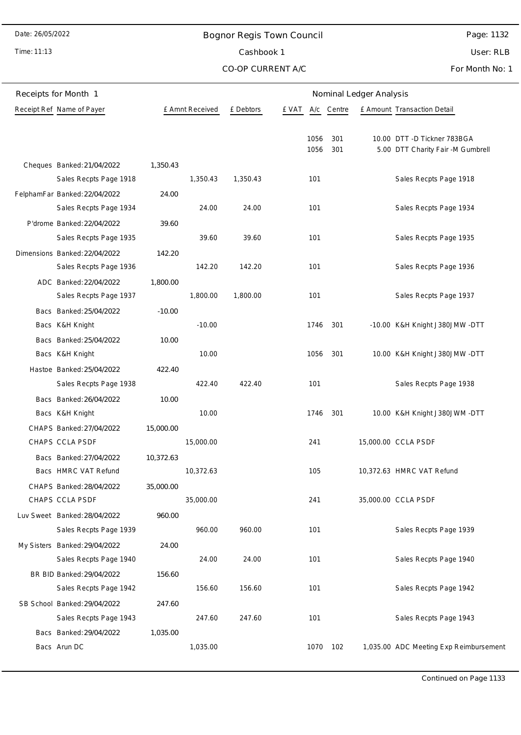## Bognor Regis Town Council

Time: 11:13

# Cashbook 1

CO-OP CURRENT A/C

Page: 1132

User: RLB

For Month No: 1

| Receipts for Month 1                                    |           |                 | Nominal Ledger Analysis |              |            |  |                                                                  |  |
|---------------------------------------------------------|-----------|-----------------|-------------------------|--------------|------------|--|------------------------------------------------------------------|--|
| Receipt Ref Name of Payer                               |           | £ Amnt Received | £ Debtors               | e vat        | A/c Centre |  | £ Amount Transaction Detail                                      |  |
|                                                         |           |                 |                         | 1056<br>1056 | 301<br>301 |  | 10.00 DTT -D Tickner 783BGA<br>5.00 DTT Charity Fair -M Gumbrell |  |
| Cheques Banked: 21/04/2022                              | 1,350.43  |                 |                         |              |            |  |                                                                  |  |
| Sales Recpts Page 1918                                  | 24.00     | 1,350.43        | 1,350.43                | 101          |            |  | Sales Recpts Page 1918                                           |  |
| FelphamFar Banked: 22/04/2022<br>Sales Recpts Page 1934 |           | 24.00           | 24.00                   | 101          |            |  | Sales Recpts Page 1934                                           |  |
| P'drome Banked: 22/04/2022                              | 39.60     |                 |                         |              |            |  |                                                                  |  |
| Sales Recpts Page 1935                                  |           | 39.60           | 39.60                   | 101          |            |  | Sales Recpts Page 1935                                           |  |
| Dimensions Banked: 22/04/2022                           | 142.20    |                 |                         |              |            |  |                                                                  |  |
| Sales Recpts Page 1936                                  |           | 142.20          | 142.20                  | 101          |            |  | Sales Recpts Page 1936                                           |  |
| ADC Banked: 22/04/2022                                  | 1,800.00  |                 |                         |              |            |  |                                                                  |  |
| Sales Recpts Page 1937                                  |           | 1,800.00        | 1,800.00                | 101          |            |  | Sales Recpts Page 1937                                           |  |
| Bacs Banked: 25/04/2022                                 | $-10.00$  |                 |                         |              |            |  |                                                                  |  |
| Bacs K&H Knight                                         |           | $-10.00$        |                         | 1746         | 301        |  | -10.00 K&H Knight J380JMW -DTT                                   |  |
| Bacs Banked: 25/04/2022                                 | 10.00     |                 |                         |              |            |  |                                                                  |  |
| Bacs K&H Knight                                         |           | 10.00           |                         | 1056         | 301        |  | 10.00 K&H Knight J380JMW -DTT                                    |  |
| Hastoe Banked: 25/04/2022                               | 422.40    |                 |                         |              |            |  |                                                                  |  |
| Sales Recpts Page 1938                                  |           | 422.40          | 422.40                  | 101          |            |  | Sales Recpts Page 1938                                           |  |
| Bacs Banked: 26/04/2022                                 | 10.00     |                 |                         |              |            |  |                                                                  |  |
| Bacs K&H Knight                                         |           | 10.00           |                         | 1746         | 301        |  | 10.00 K&H Knight J380JWM -DTT                                    |  |
| CHAPS Banked: 27/04/2022                                | 15,000.00 |                 |                         |              |            |  |                                                                  |  |
| CHAPS CCLA PSDF                                         |           | 15,000.00       |                         | 241          |            |  | 15,000.00 CCLA PSDF                                              |  |
| Bacs Banked: 27/04/2022                                 | 10,372.63 |                 |                         |              |            |  |                                                                  |  |
| Bacs HMRC VAT Refund                                    |           | 10,372.63       |                         | 105          |            |  | 10,372.63 HMRC VAT Refund                                        |  |
| CHAPS Banked: 28/04/2022                                | 35,000.00 |                 |                         |              |            |  |                                                                  |  |
| CHAPS CCLA PSDF                                         |           | 35,000.00       |                         | 241          |            |  | 35,000.00 CCLA PSDF                                              |  |
| Luv Sweet Banked: 28/04/2022                            | 960.00    |                 |                         |              |            |  |                                                                  |  |
| Sales Recpts Page 1939                                  |           | 960.00          | 960.00                  | 101          |            |  | Sales Recpts Page 1939                                           |  |
| My Sisters Banked: 29/04/2022                           | 24.00     |                 |                         |              |            |  |                                                                  |  |
| Sales Recpts Page 1940                                  |           | 24.00           | 24.00                   | 101          |            |  | Sales Recpts Page 1940                                           |  |
| BR BID Banked: 29/04/2022                               | 156.60    |                 |                         |              |            |  |                                                                  |  |
| Sales Recpts Page 1942                                  |           | 156.60          | 156.60                  | 101          |            |  | Sales Recpts Page 1942                                           |  |
| SB School Banked: 29/04/2022                            | 247.60    |                 |                         |              |            |  |                                                                  |  |
| Sales Recpts Page 1943                                  |           | 247.60          | 247.60                  | 101          |            |  | Sales Recpts Page 1943                                           |  |
| Bacs Banked: 29/04/2022<br>Bacs Arun DC                 | 1,035.00  | 1,035.00        |                         |              | 1070 102   |  | 1,035.00 ADC Meeting Exp Reimbursement                           |  |
|                                                         |           |                 |                         |              |            |  |                                                                  |  |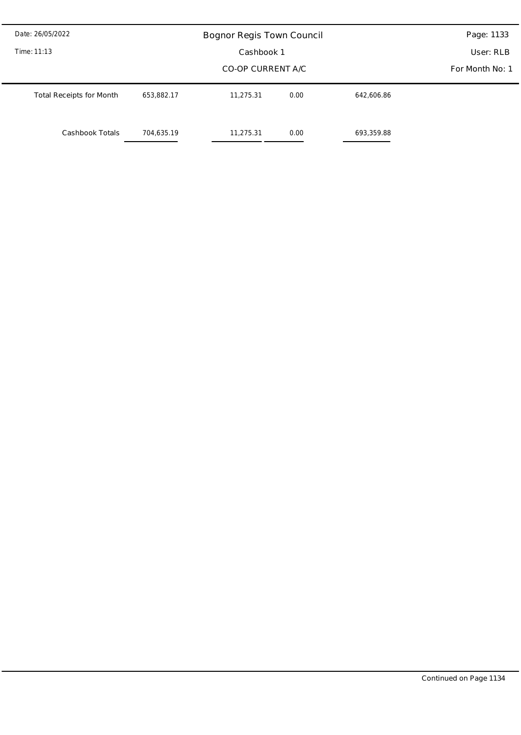| Date: 26/05/2022                | Page: 1133        |           |            |            |  |  |  |
|---------------------------------|-------------------|-----------|------------|------------|--|--|--|
| Time: 11:13                     |                   | User: RLB |            |            |  |  |  |
|                                 | CO-OP CURRENT A/C |           |            |            |  |  |  |
| <b>Total Receipts for Month</b> | 653,882.17        | 11,275.31 | 0.00       | 642,606.86 |  |  |  |
| Cashbook Totals                 | 11,275.31         | 0.00      | 693,359.88 |            |  |  |  |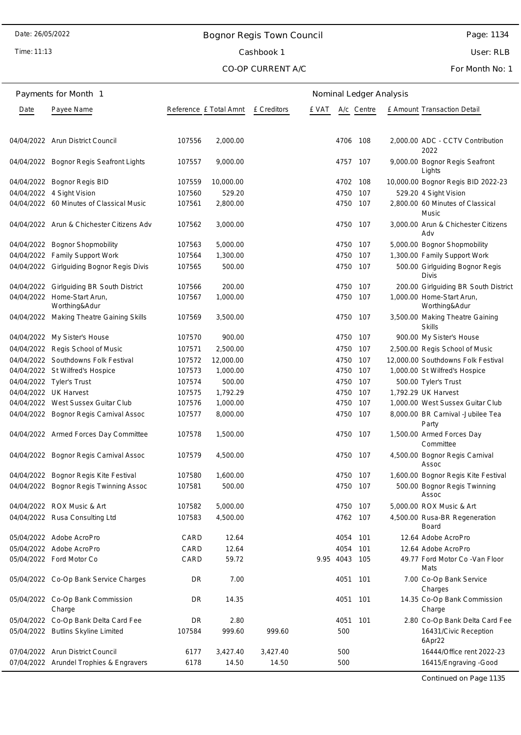## Bognor Regis Town Council

Time: 11:13

# Cashbook 1

### CO-OP CURRENT A/C

Page: 1134

User: RLB

For Month No: 1

|      | Payments for Month 1                         |                        | Nominal Ledger Analysis |             |       |               |            |  |                                                  |
|------|----------------------------------------------|------------------------|-------------------------|-------------|-------|---------------|------------|--|--------------------------------------------------|
| Date | Payee Name                                   | Reference £ Total Amnt |                         | £ Creditors | e vat |               | A/c Centre |  | E Amount Transaction Detail                      |
|      | 04/04/2022 Arun District Council             | 107556                 | 2,000.00                |             |       |               | 4706 108   |  | 2,000.00 ADC - CCTV Contribution<br>2022         |
|      | 04/04/2022 Bognor Regis Seafront Lights      | 107557                 | 9,000.00                |             |       | 4757 107      |            |  | 9,000.00 Bognor Regis Seafront<br>Lights         |
|      | 04/04/2022 Bognor Regis BID                  | 107559                 | 10,000.00               |             |       | 4702 108      |            |  | 10,000.00 Bognor Regis BID 2022-23               |
|      | 04/04/2022 4 Sight Vision                    | 107560                 | 529.20                  |             |       | 4750          | 107        |  | 529.20 4 Sight Vision                            |
|      | 04/04/2022 60 Minutes of Classical Music     | 107561                 | 2,800.00                |             |       | 4750          | 107        |  | 2,800.00 60 Minutes of Classical<br>Music        |
|      | 04/04/2022 Arun & Chichester Citizens Adv    | 107562                 | 3,000.00                |             |       | 4750          | 107        |  | 3,000.00 Arun & Chichester Citizens<br>Adv       |
|      | 04/04/2022 Bognor Shopmobility               | 107563                 | 5,000.00                |             |       | 4750 107      |            |  | 5,000.00 Bognor Shopmobility                     |
|      | 04/04/2022 Family Support Work               | 107564                 | 1,300.00                |             |       | 4750          | 107        |  | 1,300.00 Family Support Work                     |
|      | 04/04/2022 Girlguiding Bognor Regis Divis    | 107565                 | 500.00                  |             |       | 4750          | 107        |  | 500.00 Girlguiding Bognor Regis<br><b>Divis</b>  |
|      | 04/04/2022 Girlguiding BR South District     | 107566                 | 200.00                  |             |       | 4750 107      |            |  | 200.00 Girlguiding BR South District             |
|      | 04/04/2022 Home-Start Arun,<br>Worthing&Adur | 107567                 | 1,000.00                |             |       | 4750          | 107        |  | 1,000.00 Home-Start Arun,<br>Worthing&Adur       |
|      | 04/04/2022 Making Theatre Gaining Skills     | 107569                 | 3,500.00                |             |       | 4750 107      |            |  | 3,500.00 Making Theatre Gaining<br><b>Skills</b> |
|      | 04/04/2022 My Sister's House                 | 107570                 | 900.00                  |             |       | 4750          | 107        |  | 900.00 My Sister's House                         |
|      | 04/04/2022 Regis School of Music             | 107571                 | 2,500.00                |             |       | 4750 107      |            |  | 2,500.00 Regis School of Music                   |
|      | 04/04/2022 Southdowns Folk Festival          | 107572                 | 12,000.00               |             |       | 4750          | 107        |  | 12,000.00 Southdowns Folk Festival               |
|      | 04/04/2022 St Wilfred's Hospice              | 107573                 | 1,000.00                |             |       | 4750          | 107        |  | 1,000.00 St Wilfred's Hospice                    |
|      | 04/04/2022 Tyler's Trust                     | 107574                 | 500.00                  |             |       | 4750          | 107        |  | 500.00 Tyler's Trust                             |
|      | 04/04/2022 UK Harvest                        | 107575                 | 1,792.29                |             |       | 4750          | 107        |  | 1,792.29 UK Harvest                              |
|      | 04/04/2022 West Sussex Guitar Club           | 107576                 | 1,000.00                |             |       | 4750          | 107        |  | 1,000.00 West Sussex Guitar Club                 |
|      | 04/04/2022 Bognor Regis Carnival Assoc       | 107577                 | 8,000.00                |             |       | 4750          | 107        |  | 8,000.00 BR Carnival -Jubilee Tea<br>Party       |
|      | 04/04/2022 Armed Forces Day Committee        | 107578                 | 1,500.00                |             |       | 4750          | 107        |  | 1,500.00 Armed Forces Day<br>Committee           |
|      | 04/04/2022 Bognor Regis Carnival Assoc       | 107579                 | 4,500.00                |             |       | 4750          | 107        |  | 4,500.00 Bognor Regis Carnival<br>Assoc          |
|      | 04/04/2022 Bognor Regis Kite Festival        | 107580                 | 1.600.00                |             |       | 4750 107      |            |  | 1,600.00 Bognor Regis Kite Festival              |
|      | 04/04/2022 Bognor Regis Twinning Assoc       | 107581                 | 500.00                  |             |       | 4750 107      |            |  | 500.00 Bognor Regis Twinning<br>Assoc            |
|      | 04/04/2022 ROX Music & Art                   | 107582                 | 5,000.00                |             |       | 4750 107      |            |  | 5,000.00 ROX Music & Art                         |
|      | 04/04/2022 Rusa Consulting Ltd               | 107583                 | 4,500.00                |             |       | 4762 107      |            |  | 4,500.00 Rusa-BR Regeneration<br>Board           |
|      | 05/04/2022 Adobe AcroPro                     | CARD                   | 12.64                   |             |       | 4054 101      |            |  | 12.64 Adobe AcroPro                              |
|      | 05/04/2022 Adobe AcroPro                     | CARD                   | 12.64                   |             |       | 4054          | 101        |  | 12.64 Adobe AcroPro                              |
|      | 05/04/2022 Ford Motor Co                     | CARD                   | 59.72                   |             |       | 9.95 4043 105 |            |  | 49.77 Ford Motor Co - Van Floor<br>Mats          |
|      | 05/04/2022 Co-Op Bank Service Charges        | DR                     | 7.00                    |             |       | 4051 101      |            |  | 7.00 Co-Op Bank Service<br>Charges               |
|      | 05/04/2022 Co-Op Bank Commission<br>Charge   | DR                     | 14.35                   |             |       | 4051 101      |            |  | 14.35 Co-Op Bank Commission<br>Charge            |
|      | 05/04/2022 Co-Op Bank Delta Card Fee         | DR                     | 2.80                    |             |       | 4051          | 101        |  | 2.80 Co-Op Bank Delta Card Fee                   |
|      | 05/04/2022 Butlins Skyline Limited           | 107584                 | 999.60                  | 999.60      |       | 500           |            |  | 16431/Civic Reception<br>6Apr22                  |
|      | 07/04/2022 Arun District Council             | 6177                   | 3,427.40                | 3,427.40    |       | 500           |            |  | 16444/Office rent 2022-23                        |
|      | 07/04/2022 Arundel Trophies & Engravers      | 6178                   | 14.50                   | 14.50       |       | 500           |            |  | 16415/Engraving -Good                            |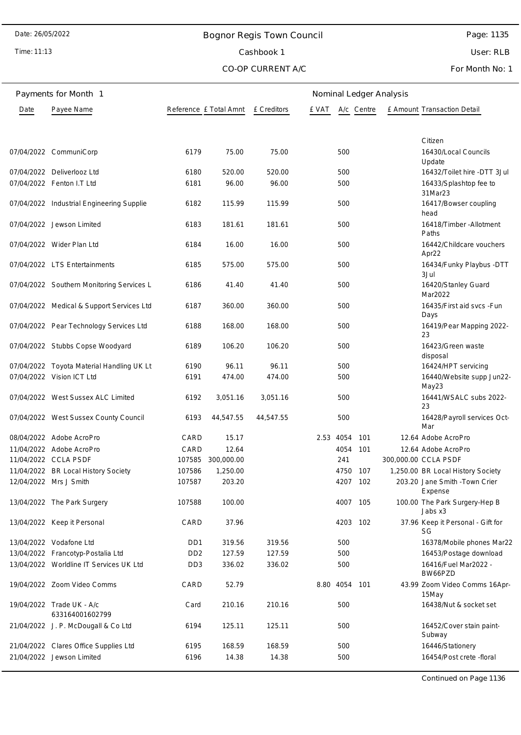# Bognor Regis Town Council Cashbook 1

CO-OP CURRENT A/C

Time: 11:13

# Page: 1135

User: RLB

For Month No: 1

|      | Payments for Month 1                         | Nominal Ledger Analysis     |                                    |           |               |          |            |  |                                           |
|------|----------------------------------------------|-----------------------------|------------------------------------|-----------|---------------|----------|------------|--|-------------------------------------------|
| Date | Payee Name                                   |                             | Reference £ Total Amnt £ Creditors |           | e vat         |          | A/c Centre |  | E Amount Transaction Detail               |
|      |                                              |                             |                                    |           |               |          |            |  | Citizen                                   |
|      | 07/04/2022 CommuniCorp                       | 6179                        | 75.00                              | 75.00     |               | 500      |            |  | 16430/Local Councils<br>Update            |
|      | 07/04/2022 Deliverlooz Ltd                   | 6180                        | 520.00                             | 520.00    |               | 500      |            |  | 16432/Toilet hire -DTT 3Jul               |
|      | 07/04/2022 Fenton I.T Ltd                    | 6181                        | 96.00                              | 96.00     |               | 500      |            |  | 16433/Splashtop fee to<br>31Mar23         |
|      | 07/04/2022 Industrial Engineering Supplie    | 6182                        | 115.99                             | 115.99    |               | 500      |            |  | 16417/Bowser coupling<br>head             |
|      | 07/04/2022 Jewson Limited                    | 6183                        | 181.61                             | 181.61    |               | 500      |            |  | 16418/Timber - Allotment<br>Paths         |
|      | 07/04/2022 Wider Plan Ltd                    | 6184                        | 16.00                              | 16.00     |               | 500      |            |  | 16442/Childcare vouchers<br>Apr22         |
|      | 07/04/2022 LTS Entertainments                | 6185                        | 575.00                             | 575.00    |               | 500      |            |  | 16434/Funky Playbus - DTT<br>3Jul         |
|      | 07/04/2022 Southern Monitoring Services L    | 6186                        | 41.40                              | 41.40     |               | 500      |            |  | 16420/Stanley Guard<br>Mar2022            |
|      | 07/04/2022 Medical & Support Services Ltd    | 6187                        | 360.00                             | 360.00    |               | 500      |            |  | 16435/First aid svcs -Fun<br>Days         |
|      | 07/04/2022 Pear Technology Services Ltd      | 6188                        | 168.00                             | 168.00    |               | 500      |            |  | 16419/Pear Mapping 2022-<br>23            |
|      | 07/04/2022 Stubbs Copse Woodyard             | 6189                        | 106.20                             | 106.20    |               | 500      |            |  | 16423/Green waste<br>disposal             |
|      | 07/04/2022 Toyota Material Handling UK Lt    | 6190                        | 96.11                              | 96.11     |               | 500      |            |  | 16424/HPT servicing                       |
|      | 07/04/2022 Vision ICT Ltd                    | 6191                        | 474.00                             | 474.00    |               | 500      |            |  | 16440/Website supp Jun22-<br>May23        |
|      | 07/04/2022 West Sussex ALC Limited           | 6192                        | 3,051.16                           | 3,051.16  |               | 500      |            |  | 16441/WSALC subs 2022-<br>23              |
|      | 07/04/2022 West Sussex County Council        | 6193                        | 44,547.55                          | 44,547.55 |               | 500      |            |  | 16428/Payroll services Oct-<br>Mar        |
|      | 08/04/2022 Adobe AcroPro                     | CARD                        | 15.17                              |           | 2.53 4054     |          | 101        |  | 12.64 Adobe AcroPro                       |
|      | 11/04/2022 Adobe AcroPro                     | CARD                        | 12.64                              |           |               | 4054     | 101        |  | 12.64 Adobe AcroPro                       |
|      | 11/04/2022 CCLA PSDF                         | 107585                      | 300,000.00                         |           |               | 241      |            |  | 300,000.00 CCLA PSDF                      |
|      | 11/04/2022 BR Local History Society          | 107586                      | 1,250.00                           |           |               |          | 4750 107   |  | 1,250.00 BR Local History Society         |
|      | 12/04/2022 Mrs J Smith                       | 107587                      | 203.20                             |           |               |          | 4207 102   |  | 203.20 Jane Smith - Town Crier<br>Expense |
|      | 13/04/2022 The Park Surgery                  | 107588                      | 100.00                             |           |               | 4007 105 |            |  | 100.00 The Park Surgery-Hep B<br>Jabs x3  |
|      | 13/04/2022 Keep it Personal                  | CARD                        | 37.96                              |           |               |          | 4203 102   |  | 37.96 Keep it Personal - Gift for<br>SG   |
|      | 13/04/2022 Vodafone Ltd                      | D <sub>D</sub> 1            | 319.56                             | 319.56    |               | 500      |            |  | 16378/Mobile phones Mar22                 |
|      | 13/04/2022 Francotyp-Postalia Ltd            | D <sub>D</sub> <sub>2</sub> | 127.59                             | 127.59    |               | 500      |            |  | 16453/Postage download                    |
|      | 13/04/2022 Worldline IT Services UK Ltd      | DD <sub>3</sub>             | 336.02                             | 336.02    |               | 500      |            |  | 16416/Fuel Mar2022 -<br>BW66PZD           |
|      | 19/04/2022 Zoom Video Comms                  | CARD                        | 52.79                              |           | 8.80 4054 101 |          |            |  | 43.99 Zoom Video Comms 16Apr-<br>15May    |
|      | 19/04/2022 Trade UK - A/c<br>633164001602799 | Card                        | 210.16                             | 210.16    |               | 500      |            |  | 16438/Nut & socket set                    |
|      | 21/04/2022 J. P. McDougall & Co Ltd          | 6194                        | 125.11                             | 125.11    |               | 500      |            |  | 16452/Cover stain paint-<br>Subway        |
|      | 21/04/2022 Clares Office Supplies Ltd        | 6195                        | 168.59                             | 168.59    |               | 500      |            |  | 16446/Stationery                          |
|      | 21/04/2022 Jewson Limited                    | 6196                        | 14.38                              | 14.38     |               | 500      |            |  | 16454/Post crete -floral                  |